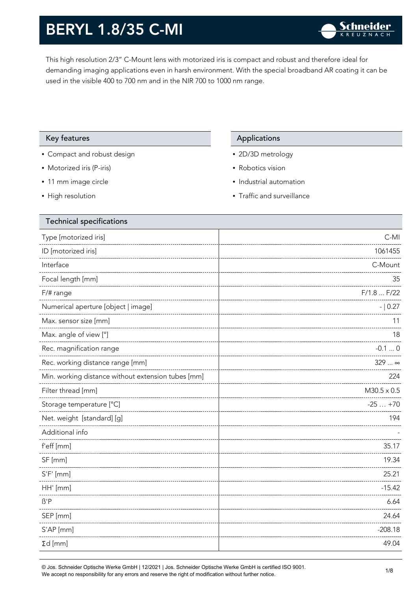This high resolution 2/3" C-Mount lens with motorized iris is compact and robust and therefore ideal for demanding imaging applications even in harsh environment. With the special broadband AR coating it can be used in the visible 400 to 700 nm and in the NIR 700 to 1000 nm range.

#### Key features Applications Applications

- Compact and robust design
- Motorized iris (P-iris)
- 11 mm image circle
- High resolution

- 2D/3D metrology
- Robotics vision
- Industrial automation
- Traffic and surveillance

| <b>Technical specifications</b>                    |                    |
|----------------------------------------------------|--------------------|
| Type [motorized iris]                              | $C-MI$             |
| ID [motorized iris]                                | 1061455            |
| Interface                                          | C-Mount            |
| Focal length [mm]                                  | 35                 |
| $F/\#$ range                                       | F/1.8  F/22        |
| Numerical aperture [object   image]                | $- 0.27$           |
| Max. sensor size [mm]                              | 11                 |
| Max. angle of view [°]                             | 18                 |
| Rec. magnification range                           | $-0.10$            |
| Rec. working distance range [mm]                   | $329$ $\infty$     |
| Min. working distance without extension tubes [mm] | 224                |
| Filter thread [mm]                                 | $M30.5 \times 0.5$ |
| Storage temperature [°C]                           | $-25+70$           |
| Net. weight [standard] [g]                         | 194                |
| Additional info                                    |                    |
| f'eff [mm]                                         | 35.17              |
| SF [mm]                                            | 19.34              |
| $S'F'$ [mm]                                        | 25.21              |
| HH' [mm]                                           | $-15.42$           |
| $\beta'$ P                                         | 6.64               |
| SEP [mm]                                           | 24.64              |
| S'AP [mm]                                          | $-208.18$          |
| $\Sigma d$ [mm]                                    | 49.04              |
|                                                    |                    |

© Jos. Schneider Optische Werke GmbH | 12/2021 | Jos. Schneider Optische Werke GmbH is certified ISO 9001. We accept no responsibility for any errors and reserve the right of modification without further notice.<br>We accept no responsibility for any errors and reserve the right of modification without further notice.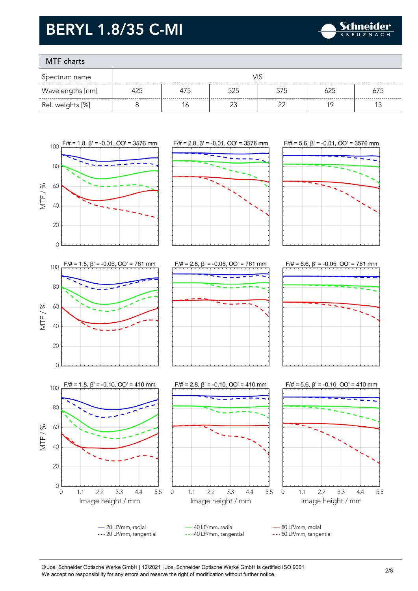

### MTF charts

| Spectrum name    |     |     | VIS |     |     |     |
|------------------|-----|-----|-----|-----|-----|-----|
| Wavelengths [nm] | 425 | 475 | 525 | 575 | 625 | 675 |
| Rel. weights [%] |     | 6   |     |     | 1 Q |     |



-20 LP/mm, radial 40 LP/mm, radial 80 LP/mm, radial --- 20 LP/mm, tangential --- 40 LP/mm, tangential --- 80 LP/mm, tangential

© Jos. Schneider Optische Werke GmbH | 12/2021 | Jos. Schneider Optische Werke GmbH is certified ISO 9001. We accept no responsibility for any errors and reserve the right of modification without further notice.<br>We accept no responsibility for any errors and reserve the right of modification without further notice.

3.3

 $4.4$ 

5.5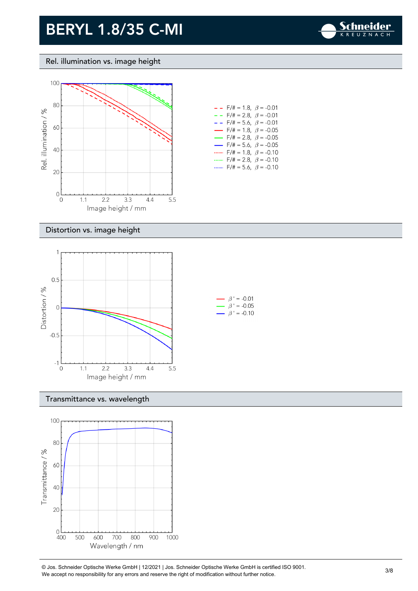

#### Rel. illumination vs. image height



| - -                      | $F/\# = 1.8, \ \ \beta = -0.01$       |  |
|--------------------------|---------------------------------------|--|
| - -                      | $F/\ddot{}=2.8,~\beta = -0.01$        |  |
| - -                      | $F/\ddot{=} = 5.6, \ \beta = -0.01$   |  |
| $\overline{\phantom{0}}$ | $F/\# = 1.8, \ \beta = -0.05$         |  |
| $\overline{\phantom{0}}$ | $F/\ddot{\pi} = 2.8, \ \beta = -0.05$ |  |
| $\overline{\phantom{0}}$ | $F/\ddot{\pi} = 5.6, \ \beta = -0.05$ |  |
|                          | $F/\ddot{=} = 1.8, \ \beta = -0.10$   |  |
|                          | $F/\ddot{=} = 2.8, \ \ \beta = -0.10$ |  |
|                          | $F/\ddot{=} = 5.6, \ \beta = -0.10$   |  |

#### Distortion vs. image height



#### Transmittance vs. wavelength



© Jos. Schneider Optische Werke GmbH | 12/2021 | Jos. Schneider Optische Werke GmbH is certified ISO 9001. We accept no responsibility for any errors and reserve the right of modification without further notice.<br>We accept no responsibility for any errors and reserve the right of modification without further notice.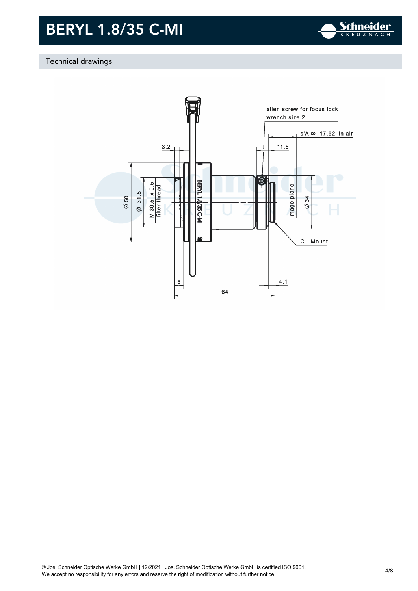

#### Technical drawings



© Jos. Schneider Optische Werke GmbH | 12/2021 | Jos. Schneider Optische Werke GmbH is certified ISO 9001. We Jos. Scrinelaer Opuscrie werke Grilom | 12/2021 | Jos. Scrinelaer Opuscrie werke Grilom is certified ISO 9001.<br>We accept no responsibility for any errors and reserve the right of modification without further notice.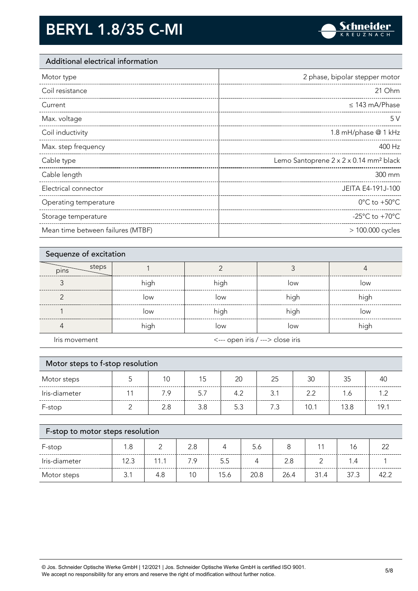

#### Additional electrical information

| Motor type            | 2 phase, bipolar stepper motor                     |
|-----------------------|----------------------------------------------------|
| Coil resistance       | 21 Ohm                                             |
| Current               | $\leq$ 143 mA/Phase                                |
| Max. voltage          | 5V                                                 |
| Coil inductivity      | 1.8 mH/phase @ 1 kHz                               |
| Max. step frequency   | 400 Hz                                             |
|                       |                                                    |
| Cable type            | Lemo Santoprene 2 x 2 x 0.14 mm <sup>2</sup> black |
| Cable length          | 300 mm                                             |
| Electrical connector  | JEITA E4-191J-100                                  |
| Operating temperature | $0^{\circ}$ C to +50 $^{\circ}$ C                  |
| Storage temperature   | -25 $^{\circ}$ C to +70 $^{\circ}$ C               |

| Sequenze of excitation |      |                                  |      |      |
|------------------------|------|----------------------------------|------|------|
| steps<br>pins          |      |                                  |      |      |
|                        | high | high                             | low  | low  |
|                        | low  | low                              | high | high |
|                        | low  | high                             | high | low  |
|                        | high | low                              | low  | high |
| Iris movement          |      | <--- open iris / ---> close iris |      |      |

| Motor steps to f-stop resolution |  |     |     |     |     |      |      |      |
|----------------------------------|--|-----|-----|-----|-----|------|------|------|
| Motor steps                      |  | 10  | 15  | 20  | 25  | 30   | 35   | 40   |
| Iris-diameter                    |  | 7.9 | 5.7 | 4.2 | 3.1 | 2.2  | 1.6  |      |
| F-stop                           |  | 2.8 | 3.8 | 5.3 | 7.3 | 10.1 | 13.8 | 19.1 |

| F-stop to motor steps resolution |      |      |     |      |      |      |      |      |        |
|----------------------------------|------|------|-----|------|------|------|------|------|--------|
| F-stop                           | 1.8  |      | 2.8 |      | 5.6  |      |      | 16   | $\cap$ |
| Iris-diameter                    | 12.3 | 11 1 | 7.9 | 5.5  |      | 2.8  |      | 1.4  |        |
| Motor steps                      | R 1  | 4.8  | 10  | 15.6 | 20.8 | 26.4 | 31.4 | 37.3 | 42 2   |

© Jos. Schneider Optische Werke GmbH | 12/2021 | Jos. Schneider Optische Werke GmbH is certified ISO 9001. We accept no responsibility for any errors and reserve the right of modification without further notice. 5/8<br>We accept no responsibility for any errors and reserve the right of modification without further notice.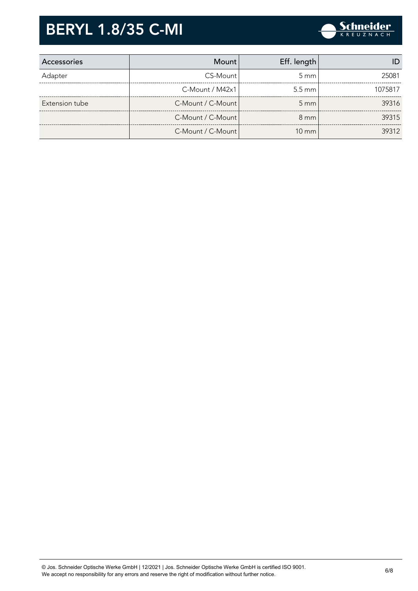

| Accessories    | Mount                 | Eff. length      |         |
|----------------|-----------------------|------------------|---------|
| Adapter        | CS-Mount              | $5 \text{ mm}$   | 25081   |
|                | $C-M$ ount / M42 $x1$ | $5.5 \text{ mm}$ | 1075817 |
| Extension tube | C-Mount / C-Mount     | $5 \, \text{mm}$ | 39316   |
|                | C-Mount / C-Mount     | $8 \text{ mm}$   | 39315   |
|                | C-Mount / C-Mount     | $10 \text{ mm}$  | 39312   |